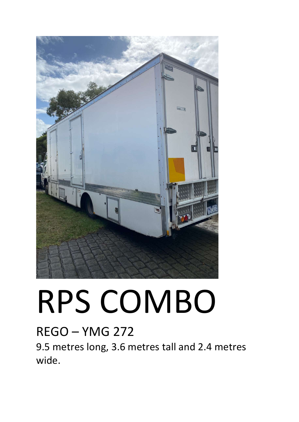

## RPS COMBO

## REGO – YMG 272

9.5 metres long, 3.6 metres tall and 2.4 metres wide.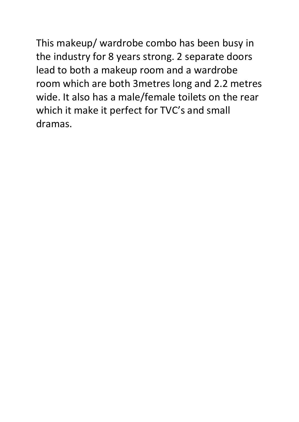This makeup/ wardrobe combo has been busy in the industry for 8 years strong. 2 separate doors lead to both a makeup room and a wardrobe room which are both 3metres long and 2.2 metres wide. It also has a male/female toilets on the rear which it make it perfect for TVC's and small dramas.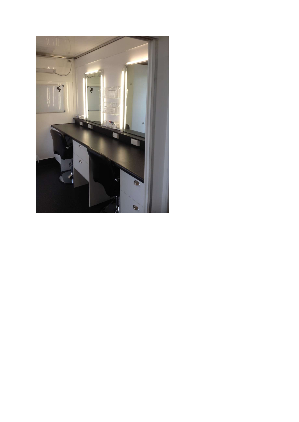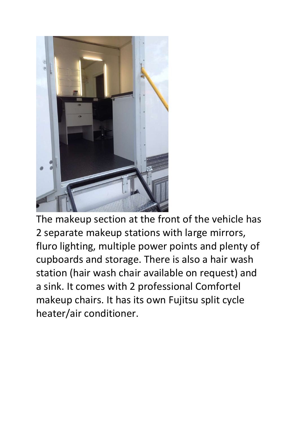

The makeup section at the front of the vehicle has 2 separate makeup stations with large mirrors, fluro lighting, multiple power points and plenty of cupboards and storage. There is also a hair wash station (hair wash chair available on request) and a sink. It comes with 2 professional Comfortel makeup chairs. It has its own Fujitsu split cycle heater/air conditioner.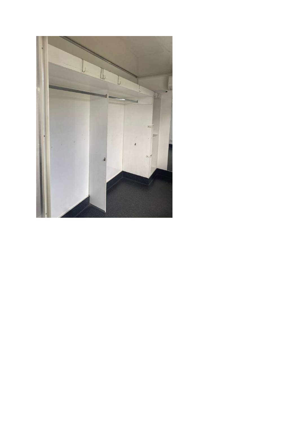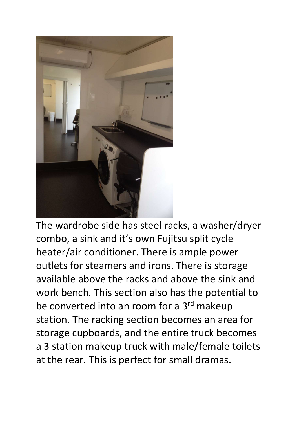

The wardrobe side has steel racks, a washer/dryer combo, a sink and it's own Fujitsu split cycle heater/air conditioner. There is ample power outlets for steamers and irons. There is storage available above the racks and above the sink and work bench. This section also has the potential to be converted into an room for a 3<sup>rd</sup> makeup station. The racking section becomes an area for storage cupboards, and the entire truck becomes a 3 station makeup truck with male/female toilets at the rear. This is perfect for small dramas.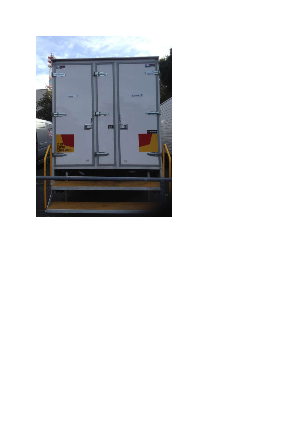